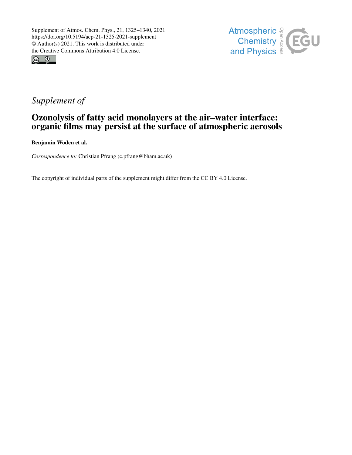



## *Supplement of*

### Ozonolysis of fatty acid monolayers at the air–water interface: organic films may persist at the surface of atmospheric aerosols

Benjamin Woden et al.

*Correspondence to:* Christian Pfrang (c.pfrang@bham.ac.uk)

The copyright of individual parts of the supplement might differ from the CC BY 4.0 License.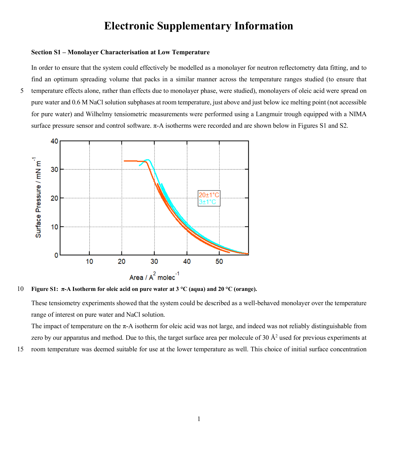# **Electronic Supplementary Information**

#### **Section S1 – Monolayer Characterisation at Low Temperature**

In order to ensure that the system could effectively be modelled as a monolayer for neutron reflectometry data fitting, and to find an optimum spreading volume that packs in a similar manner across the temperature ranges studied (to ensure that 5 temperature effects alone, rather than effects due to monolayer phase, were studied), monolayers of oleic acid were spread on pure water and 0.6 M NaCl solution subphases at room temperature, just above and just below ice melting point (not accessible for pure water) and Wilhelmy tensiometric measurements were performed using a Langmuir trough equipped with a NIMA surface pressure sensor and control software. π-A isotherms were recorded and are shown below in Figures S1 and S2.



10 **Figure S1: π-A Isotherm for oleic acid on pure water at 3 °C (aqua) and 20 °C (orange).**

These tensiometry experiments showed that the system could be described as a well-behaved monolayer over the temperature range of interest on pure water and NaCl solution.

The impact of temperature on the  $\pi$ -A isotherm for oleic acid was not large, and indeed was not reliably distinguishable from zero by our apparatus and method. Due to this, the target surface area per molecule of 30 Å2 used for previous experiments at

15 room temperature was deemed suitable for use at the lower temperature as well. This choice of initial surface concentration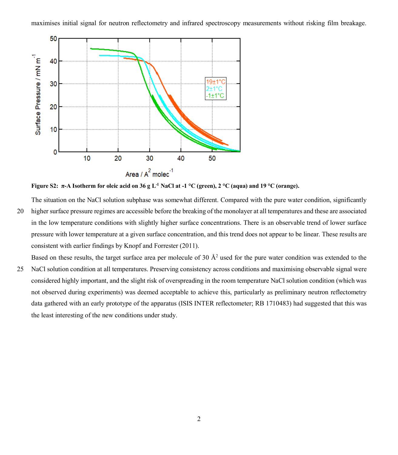maximises initial signal for neutron reflectometry and infrared spectroscopy measurements without risking film breakage.



**Figure S2: π-A Isotherm for oleic acid on 36 g L-1 NaCl at -1 °C (green), 2 °C (aqua) and 19 °C (orange).**

The situation on the NaCl solution subphase was somewhat different. Compared with the pure water condition, significantly

20 higher surface pressure regimes are accessible before the breaking of the monolayer at all temperatures and these are associated in the low temperature conditions with slightly higher surface concentrations. There is an observable trend of lower surface pressure with lower temperature at a given surface concentration, and this trend does not appear to be linear. These results are consistent with earlier findings by Knopf and Forrester (2011).

Based on these results, the target surface area per molecule of 30 Å<sup>2</sup> used for the pure water condition was extended to the

25 NaCl solution condition at all temperatures. Preserving consistency across conditions and maximising observable signal were considered highly important, and the slight risk of overspreading in the room temperature NaCl solution condition (which was not observed during experiments) was deemed acceptable to achieve this, particularly as preliminary neutron reflectometry data gathered with an early prototype of the apparatus (ISIS INTER reflectometer; RB 1710483) had suggested that this was the least interesting of the new conditions under study.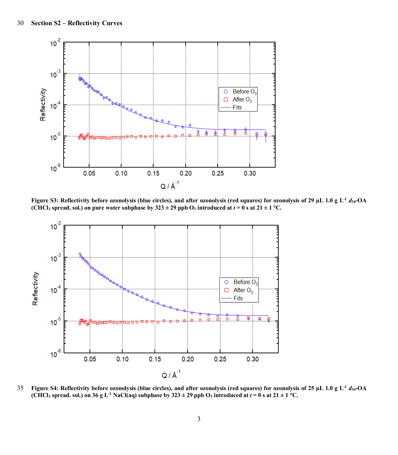

**Figure S3: Reflectivity before ozonolysis (blue circles), and after ozonolysis (red squares) for ozonolysis of 29 µL 1.0 g L-1** *d***34-OA (CHCl<sub>3</sub> spread. sol.)** on pure water subphase by  $323 \pm 29$  ppb O<sub>3</sub> introduced at  $t = 0$  s at  $21 \pm 1$  °C.



**Figure S4: Reflectivity before ozonolysis (blue circles), and after ozonolysis (red squares) for ozonolysis of 25 µL 1.0 g L-1** 35 *d***34-OA (CHCl<sub>3</sub> spread. sol.) on 36 g L<sup>-1</sup> NaCl(aq) subphase by**  $323 \pm 29$  **ppb O<sub>3</sub> introduced at**  $t = 0$  **s at**  $21 \pm 1$  **°C.**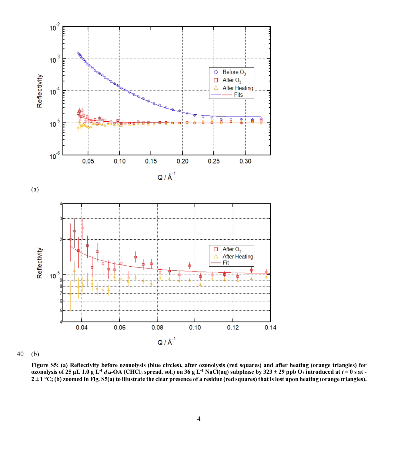

40 (b)

**Figure S5: (a) Reflectivity before ozonolysis (blue circles), after ozonolysis (red squares) and after heating (orange triangles) for ozonolysis** of 25  $\mu$ L 1.0 g L<sup>-1</sup> *d*<sub>34</sub>-OA (CHCl<sub>3</sub> spread. sol.) on 36 g L<sup>-1</sup> NaCl(aq) subphase by 323 ± 29 ppb O<sub>3</sub> introduced at  $t = 0$  s at - $2 \pm 1$  °C; (b) zoomed in Fig. S5(a) to illustrate the clear presence of a residue (red squares) that is lost upon heating (orange triangles).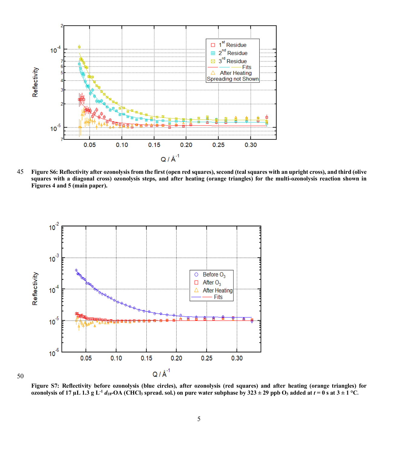

45 **Figure S6: Reflectivity after ozonolysis from the first (open red squares), second (teal squares with an upright cross), and third (olive squares with a diagonal cross) ozonolysis steps, and after heating (orange triangles) for the multi-ozonolysis reaction shown in Figures 4 and 5 (main paper).**



50

**Figure S7: Reflectivity before ozonolysis (blue circles), after ozonolysis (red squares) and after heating (orange triangles) for ozonolysis of 17** µL 1.3 g L<sup>-1</sup>  $d_{18}$ -OA (CHCl<sub>3</sub> spread. sol.) on pure water subphase by  $323 \pm 29$  ppb O<sub>3</sub> added at  $t = 0$  s at  $3 \pm 1$  °C.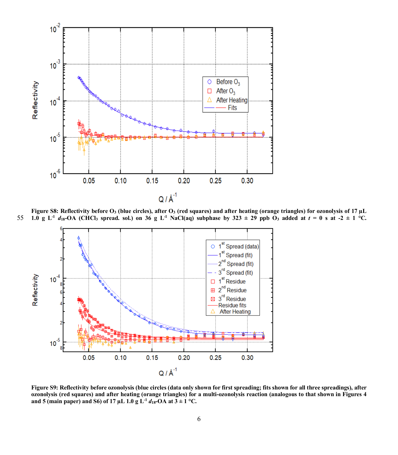

Figure S8: Reflectivity before O<sub>3</sub> (blue circles), after O<sub>3</sub> (red squares) and after heating (orange triangles) for ozonolysis of 17 µL  $1.0 \text{ g L}$ <sup>1</sup> *d*<sub>18</sub>-OA (CHCl<sub>3</sub> spread. sol.) on 36 g L<sup>-1</sup> NaCl(aq) subphase by 323 ± 29 ppb  $\overrightarrow{0}$ <sub>3</sub> added at  $t = 0$  s at -2 ± 1 °C.



**Figure S9: Reflectivity before ozonolysis (blue circles (data only shown for first spreading; fits shown for all three spreadings), after ozonolysis (red squares) and after heating (orange triangles) for a multi-ozonolysis reaction (analogous to that shown in Figures 4 and 5 (main paper) and S6) of 17 µL 1.0 g L<sup>-1</sup>**  $d_{18}$ **-OA at**  $3 \pm 1$  **°C.**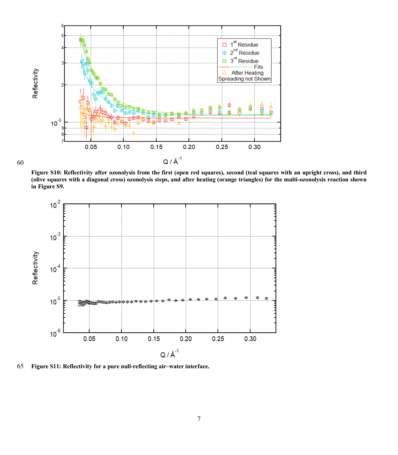

**Figure S10: Reflectivity after ozonolysis from the first (open red squares), second (teal squares with an upright cross), and third (olive squares with a diagonal cross) ozonolysis steps, and after heating (orange triangles) for the multi-ozonolysis reaction shown in Figure S9.**



65 **Figure S11: Reflectivity for a pure null-reflecting air–water interface.**

60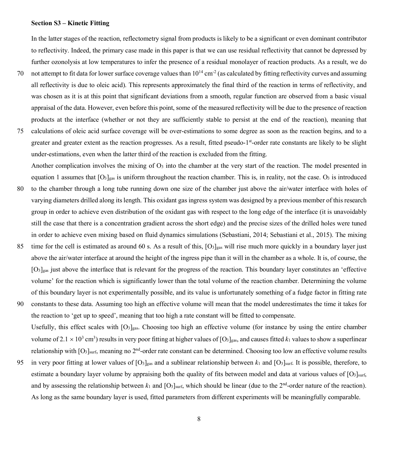#### **Section S3 – Kinetic Fitting**

In the latter stages of the reaction, reflectometry signal from products is likely to be a significant or even dominant contributor to reflectivity. Indeed, the primary case made in this paper is that we can use residual reflectivity that cannot be depressed by further ozonolysis at low temperatures to infer the presence of a residual monolayer of reaction products. As a result, we do

- 70 not attempt to fit data for lower surface coverage values than  $10^{14}$  cm<sup>-2</sup> (as calculated by fitting reflectivity curves and assuming all reflectivity is due to oleic acid). This represents approximately the final third of the reaction in terms of reflectivity, and was chosen as it is at this point that significant deviations from a smooth, regular function are observed from a basic visual appraisal of the data. However, even before this point, some of the measured reflectivity will be due to the presence of reaction products at the interface (whether or not they are sufficiently stable to persist at the end of the reaction), meaning that
- 75 calculations of oleic acid surface coverage will be over-estimations to some degree as soon as the reaction begins, and to a greater and greater extent as the reaction progresses. As a result, fitted pseudo-1st-order rate constants are likely to be slight under-estimations, even when the latter third of the reaction is excluded from the fitting.

Another complication involves the mixing of  $O_3$  into the chamber at the very start of the reaction. The model presented in equation 1 assumes that  $[O_3]_{\text{gas}}$  is uniform throughout the reaction chamber. This is, in reality, not the case.  $O_3$  is introduced

- 80 to the chamber through a long tube running down one size of the chamber just above the air/water interface with holes of varying diameters drilled along its length. This oxidant gas ingress system was designed by a previous member of this research group in order to achieve even distribution of the oxidant gas with respect to the long edge of the interface (it is unavoidably still the case that there is a concentration gradient across the short edge) and the precise sizes of the drilled holes were tuned in order to achieve even mixing based on fluid dynamics simulations (Sebastiani, 2014; Sebastiani et al., 2015). The mixing
- 85 time for the cell is estimated as around 60 s. As a result of this,  $[O_3]_{\text{gas}}$  will rise much more quickly in a boundary layer just above the air/water interface at around the height of the ingress pipe than it will in the chamber as a whole. It is, of course, the  $[O_3]_{\text{gas}}$  just above the interface that is relevant for the progress of the reaction. This boundary layer constitutes an 'effective volume' for the reaction which is significantly lower than the total volume of the reaction chamber. Determining the volume of this boundary layer is not experimentally possible, and its value is unfortunately something of a fudge factor in fitting rate
- 90 constants to these data. Assuming too high an effective volume will mean that the model underestimates the time it takes for the reaction to 'get up to speed', meaning that too high a rate constant will be fitted to compensate. Usefully, this effect scales with  $[O_3]_{\text{gas}}$ . Choosing too high an effective volume (for instance by using the entire chamber volume of  $2.1 \times 10^3$  cm<sup>3</sup>) results in very poor fitting at higher values of [O<sub>3</sub>]<sub>gas</sub>, and causes fitted  $k_1$  values to show a superlinear relationship with [O<sub>3</sub>]<sub>surf</sub>, meaning no 2<sup>nd</sup>-order rate constant can be determined. Choosing too low an effective volume results
- 95 in very poor fitting at lower values of [O3]gas and a sublinear relationship between *k*<sup>1</sup> and [O3]surf. It is possible, therefore, to estimate a boundary layer volume by appraising both the quality of fits between model and data at various values of  $[O<sub>3</sub>]<sub>surf</sub>$ , and by assessing the relationship between  $k_1$  and  $[O_3]_{\text{surf}}$ , which should be linear (due to the 2<sup>nd</sup>-order nature of the reaction). As long as the same boundary layer is used, fitted parameters from different experiments will be meaningfully comparable.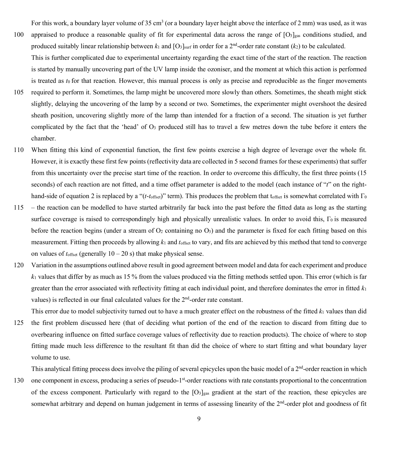For this work, a boundary layer volume of 35 cm<sup>3</sup> (or a boundary layer height above the interface of 2 mm) was used, as it was

- 100 appraised to produce a reasonable quality of fit for experimental data across the range of  $[O_3]_{\text{gas}}$  conditions studied, and produced suitably linear relationship between  $k_1$  and  $[O_3]_{\text{surf}}$  in order for a 2<sup>nd</sup>-order rate constant ( $k_2$ ) to be calculated. This is further complicated due to experimental uncertainty regarding the exact time of the start of the reaction. The reaction
- is started by manually uncovering part of the UV lamp inside the ozoniser, and the moment at which this action is performed is treated as  $t_0$  for that reaction. However, this manual process is only as precise and reproducible as the finger movements 105 required to perform it. Sometimes, the lamp might be uncovered more slowly than others. Sometimes, the sheath might stick slightly, delaying the uncovering of the lamp by a second or two. Sometimes, the experimenter might overshoot the desired sheath position, uncovering slightly more of the lamp than intended for a fraction of a second. The situation is yet further complicated by the fact that the 'head' of  $O_3$  produced still has to travel a few metres down the tube before it enters the
- chamber.
- 110 When fitting this kind of exponential function, the first few points exercise a high degree of leverage over the whole fit. However, it is exactly these first few points (reflectivity data are collected in 5 second frames for these experiments) that suffer from this uncertainty over the precise start time of the reaction. In order to overcome this difficulty, the first three points (15 seconds) of each reaction are not fitted, and a time offset parameter is added to the model (each instance of "*t*" on the righthand-side of equation 2 is replaced by a "(*t*-*t*<sub>offset</sub>)" term). This produces the problem that t<sub>offset</sub> is somewhat correlated with Γ<sub>0</sub>
- 115 the reaction can be modelled to have started arbitrarily far back into the past before the fitted data as long as the starting surface coverage is raised to correspondingly high and physically unrealistic values. In order to avoid this, Γο is measured before the reaction begins (under a stream of  $O_2$  containing no  $O_3$ ) and the parameter is fixed for each fitting based on this measurement. Fitting then proceeds by allowing *k*<sup>1</sup> and *t*offset to vary, and fits are achieved by this method that tend to converge on values of  $t_{\text{offset}}$  (generally  $10 - 20$  s) that make physical sense.
- 120 Variation in the assumptions outlined above result in good agreement between model and data for each experiment and produce *k*<sup>1</sup> values that differ by as much as 15 % from the values produced via the fitting methods settled upon. This error (which is far greater than the error associated with reflectivity fitting at each individual point, and therefore dominates the error in fitted  $k_1$ values) is reflected in our final calculated values for the 2<sup>nd</sup>-order rate constant.

This error due to model subjectivity turned out to have a much greater effect on the robustness of the fitted  $k_1$  values than did 125 the first problem discussed here (that of deciding what portion of the end of the reaction to discard from fitting due to overbearing influence on fitted surface coverage values of reflectivity due to reaction products). The choice of where to stop fitting made much less difference to the resultant fit than did the choice of where to start fitting and what boundary layer volume to use.

This analytical fitting process does involve the piling of several epicycles upon the basic model of a  $2<sup>nd</sup>$ -order reaction in which

130 one component in excess, producing a series of pseudo-1<sup>st</sup>-order reactions with rate constants proportional to the concentration of the excess component. Particularly with regard to the  $[O_3]_{gas}$  gradient at the start of the reaction, these epicycles are somewhat arbitrary and depend on human judgement in terms of assessing linearity of the  $2<sup>nd</sup>$ -order plot and goodness of fit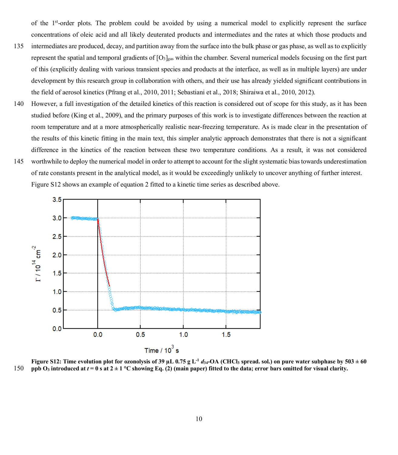of the 1st-order plots. The problem could be avoided by using a numerical model to explicitly represent the surface concentrations of oleic acid and all likely deuterated products and intermediates and the rates at which those products and

- 135 intermediates are produced, decay, and partition away from the surface into the bulk phase or gas phase, as well as to explicitly represent the spatial and temporal gradients of  $[O_3]_{\text{gas}}$  within the chamber. Several numerical models focusing on the first part of this (explicitly dealing with various transient species and products at the interface, as well as in multiple layers) are under development by this research group in collaboration with others, and their use has already yielded significant contributions in the field of aerosol kinetics (Pfrang et al., 2010, 2011; Sebastiani et al., 2018; Shiraiwa et al., 2010, 2012).
- 140 However, a full investigation of the detailed kinetics of this reaction is considered out of scope for this study, as it has been studied before (King et al., 2009), and the primary purposes of this work is to investigate differences between the reaction at room temperature and at a more atmospherically realistic near-freezing temperature. As is made clear in the presentation of the results of this kinetic fitting in the main text, this simpler analytic approach demonstrates that there is not a significant difference in the kinetics of the reaction between these two temperature conditions. As a result, it was not considered
- 145 worthwhile to deploy the numerical model in order to attempt to account for the slight systematic bias towards underestimation of rate constants present in the analytical model, as it would be exceedingly unlikely to uncover anything of further interest. Figure S12 shows an example of equation 2 fitted to a kinetic time series as described above.



**Figure S12: Time evolution plot for ozonolysis of 39**  $\mu$ **L 0.75 g L<sup>-1</sup>**  $d_{34}$ **-OA (CHCl<sub>3</sub> spread. sol.) on pure water subphase by 503**  $\pm$  **60** 150 **ppb O<sub>3</sub>** introduced at  $t = 0$  s at  $2 \pm 1$  °C showing Eq. (2) (main paper) fitted to the data; error bars omitted for visual clarity.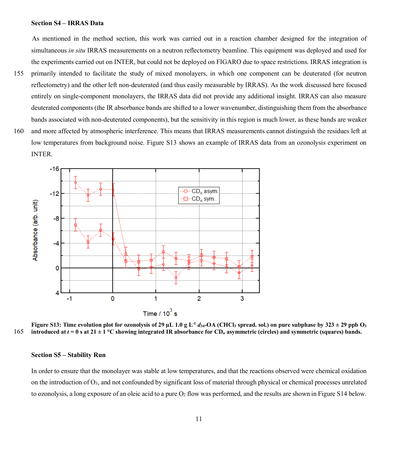#### **Section S4 – IRRAS Data**

As mentioned in the method section, this work was carried out in a reaction chamber designed for the integration of simultaneous *in situ* IRRAS measurements on a neutron reflectometry beamline. This equipment was deployed and used for the experiments carried out on INTER, but could not be deployed on FIGARO due to space restrictions. IRRAS integration is

- 155 primarily intended to facilitate the study of mixed monolayers, in which one component can be deuterated (for neutron reflectometry) and the other left non-deuterated (and thus easily measurable by IRRAS). As the work discussed here focused entirely on single-component monolayers, the IRRAS data did not provide any additional insight. IRRAS can also measure deuterated components (the IR absorbance bands are shifted to a lower wavenumber, distinguishing them from the absorbance bands associated with non-deuterated components), but the sensitivity in this region is much lower, as these bands are weaker
- 160 and more affected by atmospheric interference. This means that IRRAS measurements cannot distinguish the residues left at low temperatures from background noise. Figure S13 shows an example of IRRAS data from an ozonolysis experiment on INTER.





#### **Section S5 – Stability Run**

In order to ensure that the monolayer was stable at low temperatures, and that the reactions observed were chemical oxidation on the introduction of O3, and not confounded by significant loss of material through physical or chemical processes unrelated to ozonolysis, a long exposure of an oleic acid to a pure O2 flow was performed, and the results are shown in Figure S14 below.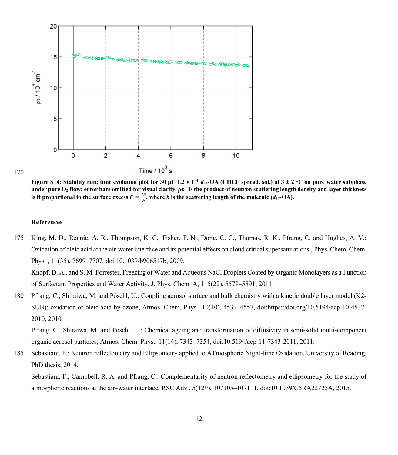

170

**Figure S14:** Stability run; time evolution plot for 30  $\mu$ L 1.2 g L<sup>-1</sup>  $d_{34}$ -OA (CHCl<sub>3</sub> spread. sol.) at  $3 \pm 2$  °C on pure water subphase under pure  $O_2$  flow; error bars omitted for visual clarity.  $\rho\tau$  is the product of neutron scattering length density and layer thickness is it proportional to the surface excess  $\Gamma = \frac{\tau \rho}{b}$ , where *b* is the scattering length of the molecule (*d*<sub>34</sub>-OA).

#### **References**

175 King, M. D., Rennie, A. R., Thompson, K. C., Fisher, F. N., Dong, C. C., Thomas, R. K., Pfrang, C. and Hughes, A. V.: Oxidation of oleic acid at the air-water interface and its potential effects on cloud critical supersaturations., Phys. Chem. Chem. Phys. , 11(35), 7699–7707, doi:10.1039/b906517b, 2009.

Knopf, D. A., and S. M. Forrester, Freezing of Water and Aqueous NaCl Droplets Coated by Organic Monolayers as a Function of Surfactant Properties and Water Activity, J. Phys. Chem. A, 115(22), 5579–5591, 2011.

180 Pfrang, C., Shiraiwa, M. and Pöschl, U.: Coupling aerosol surface and bulk chemistry with a kinetic double layer model (K2- SUB): oxidation of oleic acid by ozone, Atmos. Chem. Phys., 10(10), 4537–4557, doi:https://doi.org/10.5194/acp-10-4537- 2010, 2010.

Pfrang, C., Shiraiwa, M. and Poschl, U.: Chemical ageing and transformation of diffusivity in semi-solid multi-component organic aerosol particles, Atmos. Chem. Phys., 11(14), 7343–7354, doi:10.5194/acp-11-7343-2011, 2011.

185 Sebastiani, F.: Neutron reflectometry and Ellipsometry applied to ATmospheric Night-time Oxidation, University of Reading, PhD thesis, 2014.

Sebastiani, F., Campbell, R. A. and Pfrang, C.: Complementarity of neutron reflectometry and ellipsometry for the study of atmospheric reactions at the air–water interface, RSC Adv., 5(129), 107105–107111, doi:10.1039/C5RA22725A, 2015.